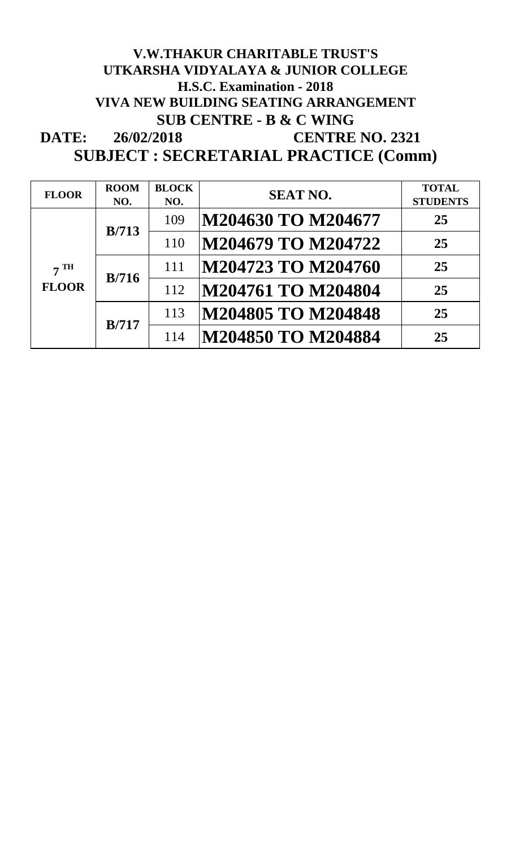#### **DATE: V.W.THAKUR CHARITABLE TRUST'S UTKARSHA VIDYALAYA & JUNIOR COLLEGE H.S.C. Examination - 2018 VIVA NEW BUILDING SEATING ARRANGEMENT SUB CENTRE - B & C WING 26/02/2018 CENTRE NO. 2321 SUBJECT : SECRETARIAL PRACTICE (Comm)**

| <b>FLOOR</b>                    | <b>ROOM</b><br>NO. | <b>BLOCK</b><br>NO. | <b>SEAT NO.</b>    | <b>TOTAL</b><br><b>STUDENTS</b> |
|---------------------------------|--------------------|---------------------|--------------------|---------------------------------|
| 7 <sup>TH</sup><br><b>FLOOR</b> | B/713              | 109                 | M204630 TO M204677 | 25                              |
|                                 |                    | 110                 | M204679 TO M204722 | 25                              |
|                                 | B/716              | 111                 | M204723 TO M204760 | 25                              |
|                                 |                    | 112                 | M204761 TO M204804 | 25                              |
|                                 | B/717              | 113                 | M204805 TO M204848 | 25                              |
|                                 |                    | 114                 | M204850 TO M204884 | 25                              |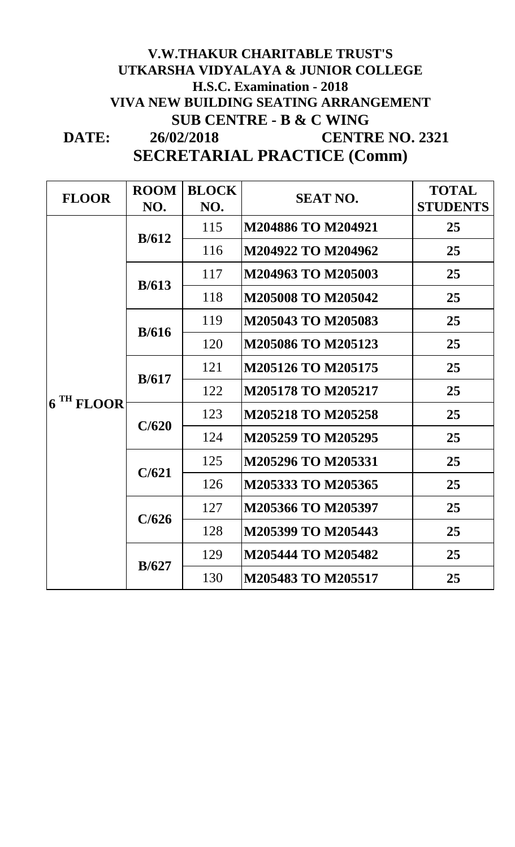### **DATE: SECRETARIAL PRACTICE (Comm) V.W.THAKUR CHARITABLE TRUST'S UTKARSHA VIDYALAYA & JUNIOR COLLEGE H.S.C. Examination - 2018 VIVA NEW BUILDING SEATING ARRANGEMENT SUB CENTRE - B & C WING 26/02/2018 CENTRE NO. 2321**

| <b>FLOOR</b>          | <b>ROOM</b><br>NO. | <b>BLOCK</b><br>NO. | <b>SEAT NO.</b>           | <b>TOTAL</b><br><b>STUDENTS</b> |
|-----------------------|--------------------|---------------------|---------------------------|---------------------------------|
|                       | B/612              | 115                 | M204886 TO M204921        | 25                              |
|                       |                    | 116                 | M204922 TO M204962        | 25                              |
|                       | B/613              | 117                 | M204963 TO M205003        | 25                              |
|                       |                    | 118                 | <b>M205008 TO M205042</b> | 25                              |
|                       | B/616              | 119                 | M205043 TO M205083        | 25                              |
| 6 <sup>TH</sup> FLOOR |                    | 120                 | M205086 TO M205123        | 25                              |
|                       | B/617              | 121                 | <b>M205126 TO M205175</b> | 25                              |
|                       |                    | 122                 | <b>M205178 TO M205217</b> | 25                              |
|                       | C/620              | 123                 | <b>M205218 TO M205258</b> | 25                              |
|                       |                    | 124                 | M205259 TO M205295        | 25                              |
|                       | C/621              | 125                 | M205296 TO M205331        | 25                              |
|                       |                    | 126                 | M205333 TO M205365        | 25                              |
|                       | C/626              | 127                 | M205366 TO M205397        | 25                              |
|                       |                    | 128                 | M205399 TO M205443        | 25                              |
|                       | B/627              | 129                 | M205444 TO M205482        | 25                              |
|                       |                    | 130                 | M205483 TO M205517        | 25                              |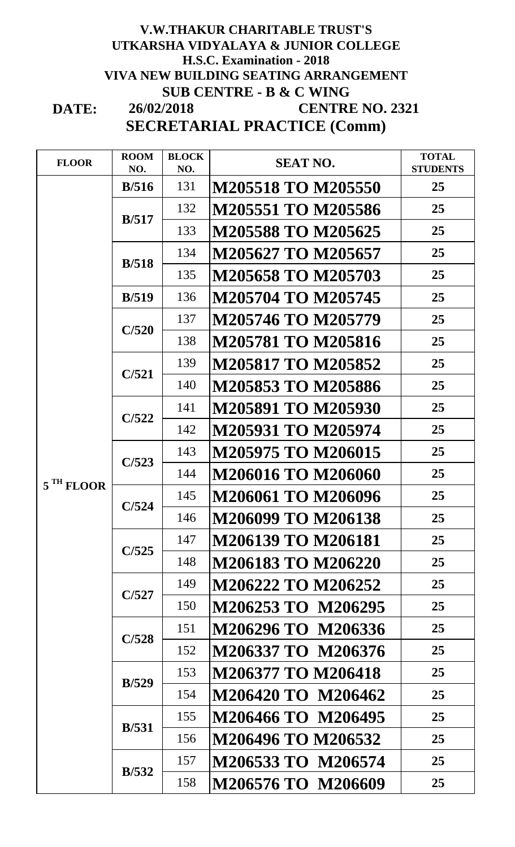#### **DATE: H.S.C. Examination - 2018 V.W.THAKUR CHARITABLE TRUST'S UTKARSHA VIDYALAYA & JUNIOR COLLEGE VIVA NEW BUILDING SEATING ARRANGEMENT SUB CENTRE - B & C WING SECRETARIAL PRACTICE (Comm) 26/02/2018 CENTRE NO. 2321**

**FLOOR ROOM NO. BLOCK NO. SEAT NO. TOTAL SEAT NO. TOTAL STUDENTS B/516** 131 **M205518 TO M205550 25** 132 **M205551 TO M205586 25** 133 **M205588 TO M205625 25** 134 **M205627 TO M205657 25** 135 **M205658 TO M205703 25 B/519** 136 **M205704 TO M205745 25** 137 **M205746 TO M205779 25** 138 **M205781 TO M205816 25** 139 **M205817 TO M205852 25** 140 **M205853 TO M205886 25** 141 **M205891 TO M205930 25** 142 **M205931 TO M205974 25** 143 **M205975 TO M206015 25** 144 **M206016 TO M206060 25** 145 **M206061 TO M206096 25** 146 **M206099 TO M206138 25** 147 **M206139 TO M206181 25** 148 **M206183 TO M206220 25** 149 **M206222 TO M206252 25** 150 **M206253 TO M206295 25** 151 **M206296 TO M206336 25** 152 **M206337 TO M206376 25** 153 **M206377 TO M206418 25** 154 **M206420 TO M206462 25** 155 **M206466 TO M206495 25** 156 **M206496 TO M206532 25** 157 **M206533 TO M206574 25** 158 **M206576 TO M206609 25 5 TH FLOOR B/517 B/518 C/520 C/521 C/522 C/528 B/529 B/531 B/532 C/523 C/524 C/525 C/527**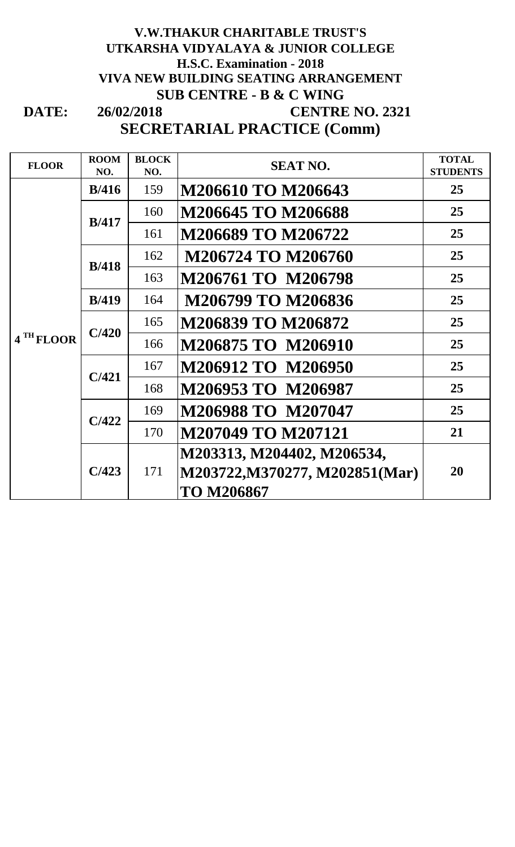#### **DATE: V.W.THAKUR CHARITABLE TRUST'S UTKARSHA VIDYALAYA & JUNIOR COLLEGE VIVA NEW BUILDING SEATING ARRANGEMENT SUB CENTRE - B & C WING SECRETARIAL PRACTICE (Comm) 26/02/2018 H.S.C. Examination - 2018 CENTRE NO. 2321**

**FLOOR ROOM NO. BLOCK**   ${{\bf NEAK}}$  **SEAT NO. TOTAL SEAT NO. TOTAL STUDENTS B/416** 159 **M206610 TO M206643 25** 160 **M206645 TO M206688 25** 161 **M206689 TO M206722 25** 162 **M206724 TO M206760 25** 163 **M206761 TO M206798 25 B/419** 164 **M206799 TO M206836 25** 165 **M206839 TO M206872 25** 166 **M206875 TO M206910 25** 167 **M206912 TO M206950 25** 168 **M206953 TO M206987 25** 169 **M206988 TO M207047 25** 170 **M207049 TO M207121 21 C/423** 171 **M203313, M204402, M206534, M203722,M370277, M202851(Mar) TO M206867 20 4 TH FLOOR B/417 B/418 C/420 C/421 C/422**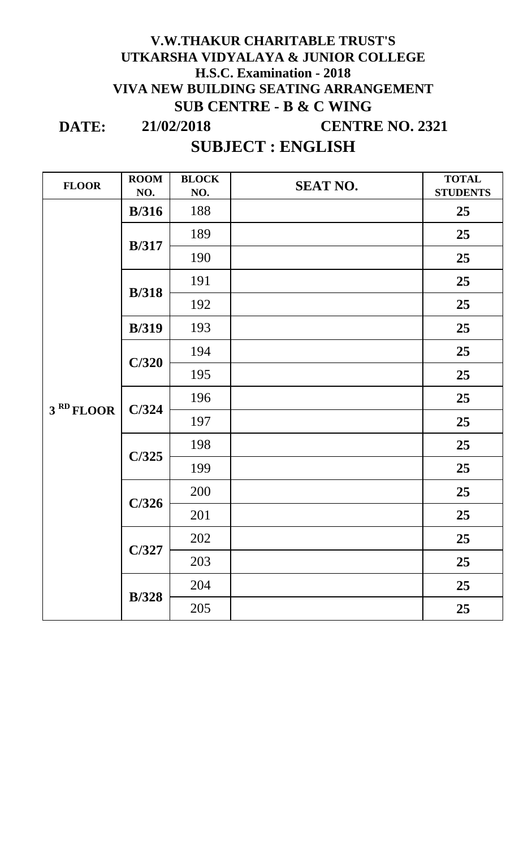## **H.S.C. Examination - 2018 V.W.THAKUR CHARITABLE TRUST'S UTKARSHA VIDYALAYA & JUNIOR COLLEGE VIVA NEW BUILDING SEATING ARRANGEMENT SUB CENTRE - B & C WING**

**DATE:**

**21/02/2018 CENTRE NO. 2321**

# **SUBJECT : ENGLISH**

| <b>FLOOR</b>          | <b>ROOM</b><br>NO. | <b>BLOCK</b><br>NO. | <b>SEAT NO.</b> | <b>TOTAL</b><br><b>STUDENTS</b> |
|-----------------------|--------------------|---------------------|-----------------|---------------------------------|
|                       | B/316              | 188                 |                 | 25                              |
|                       | <b>B</b> /317      | 189                 |                 | 25                              |
|                       |                    | 190                 |                 | 25                              |
|                       | <b>B</b> /318      | 191                 |                 | 25                              |
|                       |                    | 192                 |                 | 25                              |
|                       | <b>B</b> /319      | 193                 |                 | 25                              |
|                       | C/320              | 194                 |                 | 25                              |
|                       |                    | 195                 |                 | 25                              |
|                       | C/324              | 196                 |                 | 25                              |
| 3 <sup>RD</sup> FLOOR |                    | 197                 |                 | 25                              |
|                       | C/325              | 198                 |                 | 25                              |
|                       |                    | 199                 |                 | 25                              |
|                       | C/326              | 200                 |                 | 25                              |
|                       |                    | 201                 |                 | 25                              |
|                       | C/327              | 202                 |                 | 25                              |
|                       |                    | 203                 |                 | 25                              |
|                       | <b>B</b> /328      | 204                 |                 | 25                              |
|                       |                    | 205                 |                 | 25                              |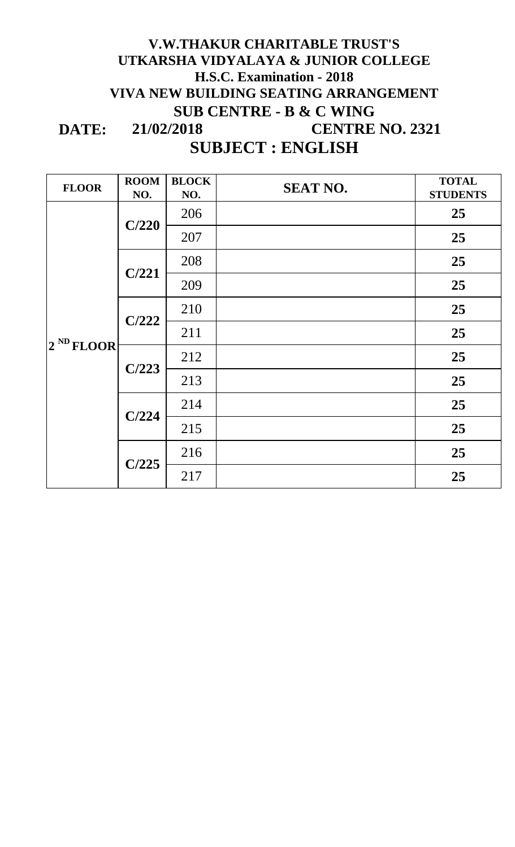## **DATE: V.W.THAKUR CHARITABLE TRUST'S UTKARSHA VIDYALAYA & JUNIOR COLLEGE VIVA NEW BUILDING SEATING ARRANGEMENT SUB CENTRE - B & C WING SUBJECT : ENGLISH H.S.C. Examination - 2018 21/02/2018 CENTRE NO. 2321**

| <b>FLOOR</b>   | <b>ROOM</b><br>NO. | <b>BLOCK</b><br>NO. | <b>SEAT NO.</b> | <b>TOTAL</b><br><b>STUDENTS</b> |
|----------------|--------------------|---------------------|-----------------|---------------------------------|
| $2^{ND}$ FLOOR | C/220              | 206                 |                 | 25                              |
|                |                    | 207                 |                 | 25                              |
|                | C/221              | 208                 |                 | 25                              |
|                |                    | 209                 |                 | 25                              |
|                | C/222              | 210                 |                 | 25                              |
|                |                    | 211                 |                 | 25                              |
|                | C/223              | 212                 |                 | 25                              |
|                |                    | 213                 |                 | 25                              |
|                | C/224              | 214                 |                 | 25                              |
|                |                    | 215                 |                 | 25                              |
|                | C/225              | 216                 |                 | 25                              |
|                |                    | 217                 |                 | 25                              |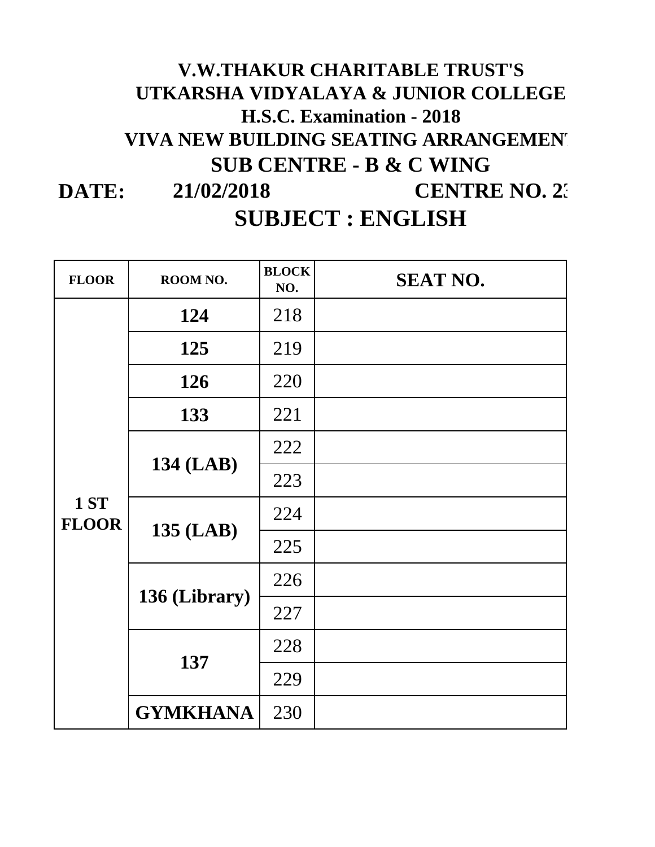## **DATE: H.S.C. Examination - 2018 21/02/2018 CENTRE NO. 23 V.W.THAKUR CHARITABLE TRUST'S UTKARSHA VIDYALAYA & JUNIOR COLLEGE VIVA NEW BUILDING SEATING ARRANGEMENT SUB CENTRE - B & C WING SUBJECT : ENGLISH**

| <b>FLOOR</b>         | ROOM NO.        | <b>BLOCK</b><br>NO. | <b>SEAT NO.</b> |
|----------------------|-----------------|---------------------|-----------------|
| 1 ST<br><b>FLOOR</b> | 124             | 218                 |                 |
|                      | 125             | 219                 |                 |
|                      | 126             | 220                 |                 |
|                      | 133             | 221                 |                 |
|                      |                 | 222                 |                 |
|                      | 134 (LAB)       | 223                 |                 |
|                      |                 | 224                 |                 |
|                      | 135 (LAB)       | 225                 |                 |
|                      |                 | 226                 |                 |
|                      | 136 (Library)   | 227                 |                 |
|                      |                 | 228                 |                 |
|                      | 137             | 229                 |                 |
|                      | <b>GYMKHANA</b> | 230                 |                 |